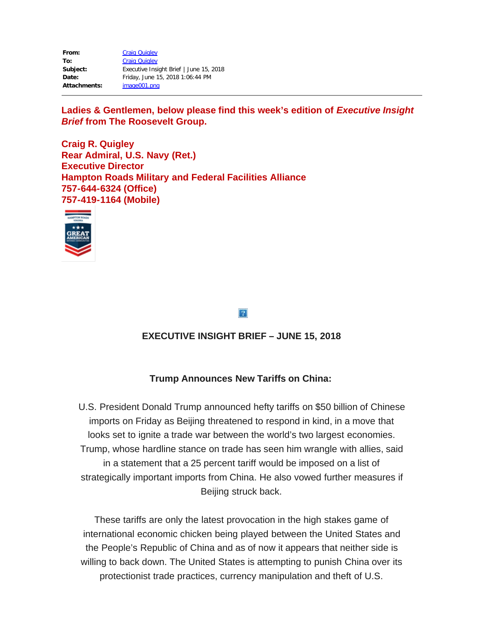| From:        | <b>Craig Quigley</b>                    |
|--------------|-----------------------------------------|
| To:          | <b>Craig Quigley</b>                    |
| Subject:     | Executive Insight Brief   June 15, 2018 |
| Date:        | Friday, June 15, 2018 1:06:44 PM        |
| Attachments: | image001.png                            |

Ladies & Gentlemen, below please find this week's edition of *Executive Insight Brief* **from The Roosevelt Group.**

**Craig R. Quigley Rear Admiral, U.S. Navy (Ret.) Executive Director Hampton Roads Military and Federal Facilities Alliance 757-644-6324 (Office) 757-419-1164 (Mobile)**



 $\overline{?}$ 

# **EXECUTIVE INSIGHT BRIEF – JUNE 15, 2018**

## **Trump Announces New Tariffs on China:**

U.S. President Donald Trump announced hefty tariffs on \$50 billion of Chinese imports on Friday as Beijing threatened to respond in kind, in a move that looks set to ignite a trade war between the world's two largest economies. Trump, whose hardline stance on trade has seen him wrangle with allies, said in a statement that a 25 percent tariff would be imposed on a list of strategically important imports from China. He also vowed further measures if Beijing struck back.

These tariffs are only the latest provocation in the high stakes game of international economic chicken being played between the United States and the People's Republic of China and as of now it appears that neither side is willing to back down. The United States is attempting to punish China over its protectionist trade practices, currency manipulation and theft of U.S.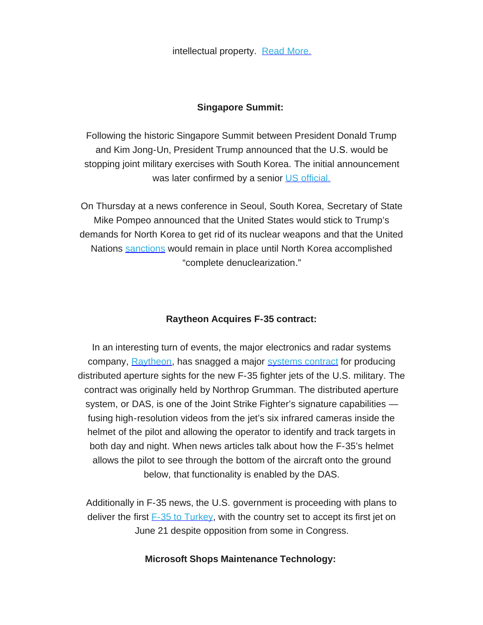intellectual property. Read [More.](https://rooseveltdc.us12.list-manage.com/track/click?u=322456b7b4ad08c1b4904c407&id=3c53f82870&e=5c6d0a3b33)

## **Singapore Summit:**

Following the historic Singapore Summit between President Donald Trump and Kim Jong-Un, President Trump announced that the U.S. would be stopping joint military exercises with South Korea. The initial announcement was later confirmed by a senior US [official.](https://rooseveltdc.us12.list-manage.com/track/click?u=322456b7b4ad08c1b4904c407&id=093c48bed9&e=5c6d0a3b33)

On Thursday at a news conference in Seoul, South Korea, Secretary of State Mike Pompeo announced that the United States would stick to Trump's demands for North Korea to get rid of its nuclear weapons and that the United Nations [sanctions](https://rooseveltdc.us12.list-manage.com/track/click?u=322456b7b4ad08c1b4904c407&id=e0a789df09&e=5c6d0a3b33) would remain in place until North Korea accomplished "complete denuclearization."

## **Raytheon Acquires F-35 contract:**

In an interesting turn of events, the major electronics and radar systems company, [Raytheon](https://rooseveltdc.us12.list-manage.com/track/click?u=322456b7b4ad08c1b4904c407&id=f019e7c0c2&e=5c6d0a3b33), has snagged a major [systems](https://rooseveltdc.us12.list-manage.com/track/click?u=322456b7b4ad08c1b4904c407&id=53e6434d01&e=5c6d0a3b33) contract for producing distributed aperture sights for the new F-35 fighter jets of the U.S. military. The contract was originally held by Northrop Grumman. The distributed aperture system, or DAS, is one of the Joint Strike Fighter's signature capabilities fusing high-resolution videos from the jet's six infrared cameras inside the helmet of the pilot and allowing the operator to identify and track targets in both day and night. When news articles talk about how the F-35's helmet allows the pilot to see through the bottom of the aircraft onto the ground below, that functionality is enabled by the DAS.

Additionally in F-35 news, the U.S. government is proceeding with plans to deliver the first  $F-35$  to [Turkey](https://rooseveltdc.us12.list-manage.com/track/click?u=322456b7b4ad08c1b4904c407&id=8cce49e092&e=5c6d0a3b33), with the country set to accept its first jet on June 21 despite opposition from some in Congress.

## **Microsoft Shops Maintenance Technology:**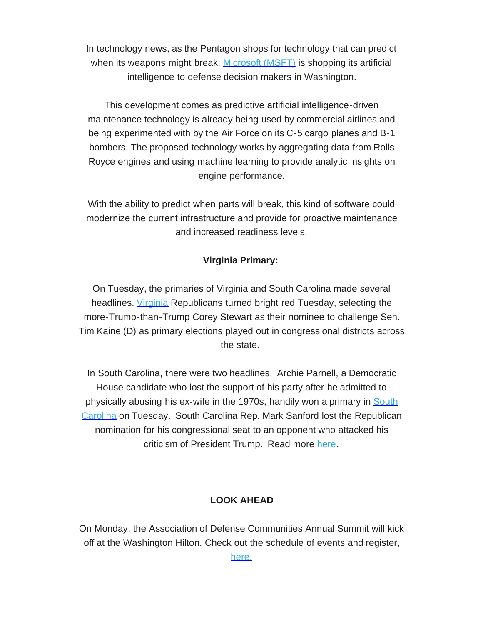In technology news, as the Pentagon shops for technology that can predict when its weapons might break, [Microsoft](https://rooseveltdc.us12.list-manage.com/track/click?u=322456b7b4ad08c1b4904c407&id=96d010888c&e=5c6d0a3b33) (MSFT) is shopping its artificial intelligence to defense decision makers in Washington.

This development comes as predictive artificial intelligence-driven maintenance technology is already being used by commercial airlines and being experimented with by the Air Force on its C-5 cargo planes and B-1 bombers. The proposed technology works by aggregating data from Rolls Royce engines and using machine learning to provide analytic insights on engine performance.

With the ability to predict when parts will break, this kind of software could modernize the current infrastructure and provide for proactive maintenance and increased readiness levels.

## **Virginia Primary:**

On Tuesday, the primaries of Virginia and South Carolina made several headlines. *[Virginia](https://rooseveltdc.us12.list-manage.com/track/click?u=322456b7b4ad08c1b4904c407&id=663e63865a&e=5c6d0a3b33)* Republicans turned bright red Tuesday, selecting the more-Trump-than-Trump Corey Stewart as their nominee to challenge Sen. Tim Kaine (D) as primary elections played out in congressional districts across the state.

In South Carolina, there were two headlines. Archie Parnell, a Democratic House candidate who lost the support of his party after he admitted to physically abusing his ex-wife in the 1970s, handily won a primary in [South](https://rooseveltdc.us12.list-manage.com/track/click?u=322456b7b4ad08c1b4904c407&id=c49e9aa2ea&e=5c6d0a3b33) [Carolina](https://rooseveltdc.us12.list-manage.com/track/click?u=322456b7b4ad08c1b4904c407&id=c49e9aa2ea&e=5c6d0a3b33) on Tuesday. South Carolina Rep. Mark Sanford lost the Republican nomination for his congressional seat to an opponent who attacked his criticism of President Trump. Read more [here.](https://rooseveltdc.us12.list-manage.com/track/click?u=322456b7b4ad08c1b4904c407&id=90b2b0f37e&e=5c6d0a3b33)

## **LOOK AHEAD**

On Monday, the Association of Defense Communities Annual Summit will kick off at the Washington Hilton. Check out the schedule of events and register,

[here.](https://rooseveltdc.us12.list-manage.com/track/click?u=322456b7b4ad08c1b4904c407&id=b947d4e7ad&e=5c6d0a3b33)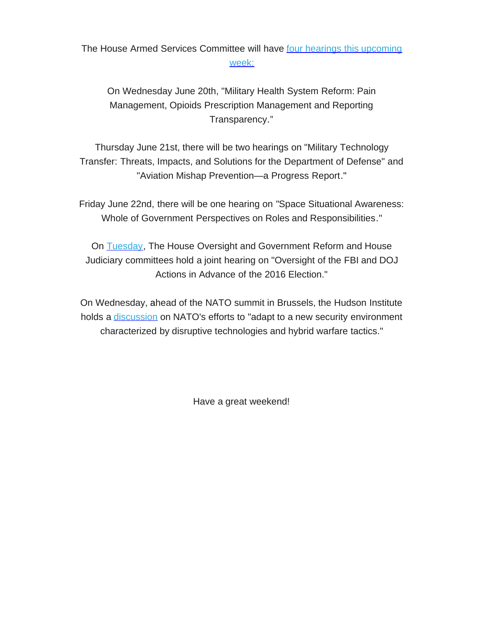# The House Armed Services Committee will have four hearings this [upcoming](https://rooseveltdc.us12.list-manage.com/track/click?u=322456b7b4ad08c1b4904c407&id=cc437f23d1&e=5c6d0a3b33) [week:](https://rooseveltdc.us12.list-manage.com/track/click?u=322456b7b4ad08c1b4904c407&id=cc437f23d1&e=5c6d0a3b33)

On Wednesday June 20th, "Military Health System Reform: Pain Management, Opioids Prescription Management and Reporting Transparency."

Thursday June 21st, there will be two hearings on "Military Technology Transfer: Threats, Impacts, and Solutions for the Department of Defense" and "Aviation Mishap Prevention—a Progress Report."

Friday June 22nd, there will be one hearing on *"*Space Situational Awareness: Whole of Government Perspectives on Roles and Responsibilities."

On **[Tuesday](https://rooseveltdc.us12.list-manage.com/track/click?u=322456b7b4ad08c1b4904c407&id=3ea1a94bba&e=5c6d0a3b33)**, The House Oversight and Government Reform and House Judiciary committees hold a joint hearing on "Oversight of the FBI and DOJ Actions in Advance of the 2016 Election."

On Wednesday, ahead of the NATO summit in Brussels, the Hudson Institute holds a [discussion](https://rooseveltdc.us12.list-manage.com/track/click?u=322456b7b4ad08c1b4904c407&id=76c2adb6e8&e=5c6d0a3b33) on NATO's efforts to "adapt to a new security environment characterized by disruptive technologies and hybrid warfare tactics."

Have a great weekend!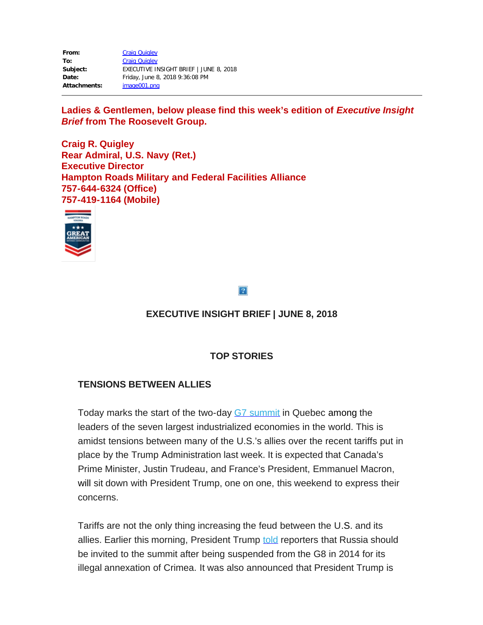| From:               | <b>Craig Quigley</b>                   |
|---------------------|----------------------------------------|
| To:                 | <b>Craig Quigley</b>                   |
| Subject:            | EXECUTIVE INSIGHT BRIEF   JUNE 8, 2018 |
| Date:               | Friday, June 8, 2018 9:36:08 PM        |
| <b>Attachments:</b> | image001.png                           |

Ladies & Gentlemen, below please find this week's edition of *Executive Insight Brief* **from The Roosevelt Group.**

**Craig R. Quigley Rear Admiral, U.S. Navy (Ret.) Executive Director Hampton Roads Military and Federal Facilities Alliance 757-644-6324 (Office) 757-419-1164 (Mobile)**



 $\overline{?}$ 

# **EXECUTIVE INSIGHT BRIEF | JUNE 8, 2018**

# **TOP STORIES**

## **TENSIONS BETWEEN ALLIES**

Today marks the start of the two-day G7 [summit](https://rooseveltdc.us12.list-manage.com/track/click?u=322456b7b4ad08c1b4904c407&id=bb72efba38&e=5c6d0a3b33) in Quebec among the leaders of the seven largest industrialized economies in the world. This is amidst tensions between many of the U.S.'s allies over the recent tariffs put in place by the Trump Administration last week. It is expected that Canada's Prime Minister, Justin Trudeau, and France's President, Emmanuel Macron, will sit down with President Trump, one on one, this weekend to express their concerns.

Tariffs are not the only thing increasing the feud between the U.S. and its allies. Earlier this morning, President Trump [told](https://rooseveltdc.us12.list-manage.com/track/click?u=322456b7b4ad08c1b4904c407&id=cc544d4b56&e=5c6d0a3b33) reporters that Russia should be invited to the summit after being suspended from the G8 in 2014 for its illegal annexation of Crimea. It was also announced that President Trump is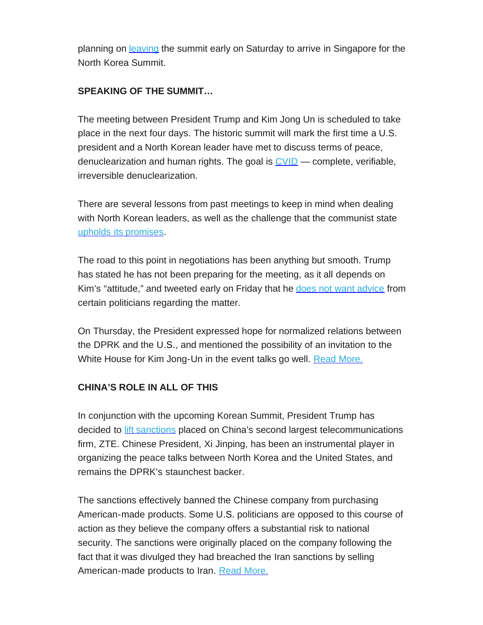planning on **[leaving](https://rooseveltdc.us12.list-manage.com/track/click?u=322456b7b4ad08c1b4904c407&id=b6dfe4cbac&e=5c6d0a3b33)** the summit early on Saturday to arrive in Singapore for the North Korea Summit.

# **SPEAKING OF THE SUMMIT…**

The meeting between President Trump and Kim Jong Un is scheduled to take place in the next four days. The historic summit will mark the first time a U.S. president and a North Korean leader have met to discuss terms of peace, denuclearization and human rights. The goal is  $\underline{\text{CVID}}$  $\underline{\text{CVID}}$  $\underline{\text{CVID}}$  — complete, verifiable, irreversible denuclearization.

There are several lessons from past meetings to keep in mind when dealing with North Korean leaders, as well as the challenge that the communist state upholds its [promises.](https://rooseveltdc.us12.list-manage.com/track/click?u=322456b7b4ad08c1b4904c407&id=69b48e087c&e=5c6d0a3b33)

The road to this point in negotiations has been anything but smooth. Trump has stated he has not been preparing for the meeting, as it all depends on Kim's "attitude," and tweeted early on Friday that he does not want [advice](https://rooseveltdc.us12.list-manage.com/track/click?u=322456b7b4ad08c1b4904c407&id=c32daadb78&e=5c6d0a3b33) from certain politicians regarding the matter.

On Thursday, the President expressed hope for normalized relations between the DPRK and the U.S., and mentioned the possibility of an invitation to the White House for Kim Jong-Un in the event talks go well. Read [More.](https://rooseveltdc.us12.list-manage.com/track/click?u=322456b7b4ad08c1b4904c407&id=572206b638&e=5c6d0a3b33)

# **CHINA'S ROLE IN ALL OF THIS**

In conjunction with the upcoming Korean Summit, President Trump has decided to lift [sanctions](https://rooseveltdc.us12.list-manage.com/track/click?u=322456b7b4ad08c1b4904c407&id=910fe3d9c6&e=5c6d0a3b33) placed on China's second largest telecommunications firm, ZTE. Chinese President, Xi Jinping, has been an instrumental player in organizing the peace talks between North Korea and the United States, and remains the DPRK's staunchest backer.

The sanctions effectively banned the Chinese company from purchasing American-made products. Some U.S. politicians are opposed to this course of action as they believe the company offers a substantial risk to national security. The sanctions were originally placed on the company following the fact that it was divulged they had breached the Iran sanctions by selling American-made products to Iran. Read [More.](https://rooseveltdc.us12.list-manage.com/track/click?u=322456b7b4ad08c1b4904c407&id=90d1a47238&e=5c6d0a3b33)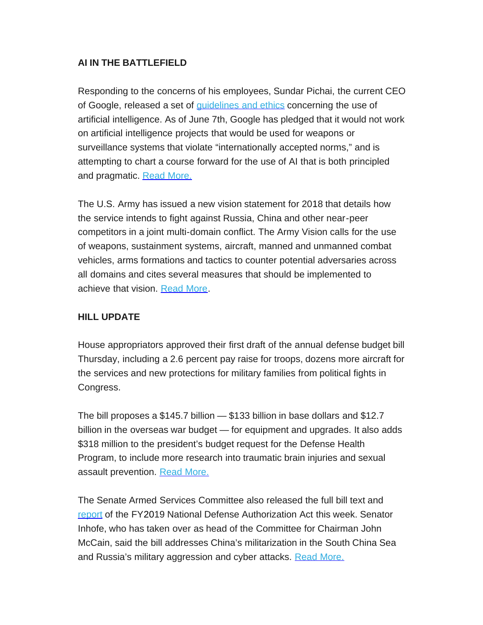# **AI IN THE BATTLEFIELD**

Responding to the concerns of his employees, Sundar Pichai, the current CEO of Google, released a set of [guidelines](https://rooseveltdc.us12.list-manage.com/track/click?u=322456b7b4ad08c1b4904c407&id=ce4861840d&e=5c6d0a3b33) and ethics concerning the use of artificial intelligence. As of June 7th, Google has pledged that it would not work on artificial intelligence projects that would be used for weapons or surveillance systems that violate "internationally accepted norms," and is attempting to chart a course forward for the use of AI that is both principled and pragmatic. Read [More.](https://rooseveltdc.us12.list-manage.com/track/click?u=322456b7b4ad08c1b4904c407&id=edc6050baf&e=5c6d0a3b33)

The U.S. Army has issued a new vision statement for 2018 that details how the service intends to fight against Russia, China and other near-peer competitors in a joint multi-domain conflict. The Army Vision calls for the use of weapons, sustainment systems, aircraft, manned and unmanned combat vehicles, arms formations and tactics to counter potential adversaries across all domains and cites several measures that should be implemented to achieve that vision. [Read](https://rooseveltdc.us12.list-manage.com/track/click?u=322456b7b4ad08c1b4904c407&id=a2be2a1226&e=5c6d0a3b33) More.

# **HILL UPDATE**

House appropriators approved their first draft of the annual defense budget bill Thursday, including a 2.6 percent pay raise for troops, dozens more aircraft for the services and new protections for military families from political fights in Congress.

The bill proposes a \$145.7 billion — \$133 billion in base dollars and \$12.7 billion in the overseas war budget — for equipment and upgrades. It also adds \$318 million to the president's budget request for the Defense Health Program, to include more research into traumatic brain injuries and sexual assault prevention. Read [More.](https://rooseveltdc.us12.list-manage.com/track/click?u=322456b7b4ad08c1b4904c407&id=43cc92ff07&e=5c6d0a3b33)

The Senate Armed Services Committee also released the full bill text and [report](https://rooseveltdc.us12.list-manage.com/track/click?u=322456b7b4ad08c1b4904c407&id=bedede9d57&e=5c6d0a3b33) of the FY2019 National Defense Authorization Act this week. Senator Inhofe, who has taken over as head of the Committee for Chairman John McCain, said the bill addresses China's militarization in the South China Sea and Russia's military aggression and cyber attacks. Read [More.](https://rooseveltdc.us12.list-manage.com/track/click?u=322456b7b4ad08c1b4904c407&id=ad5ad01320&e=5c6d0a3b33)